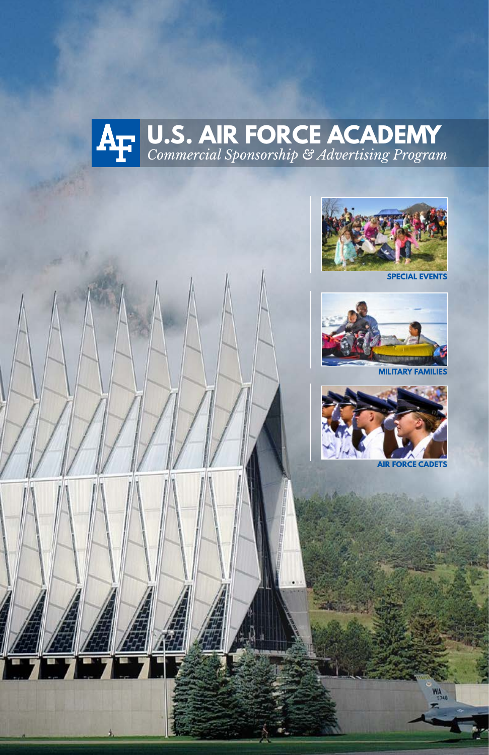



**SPECIAL EVENTS**



**MILITARY FAMILIE** 





*1*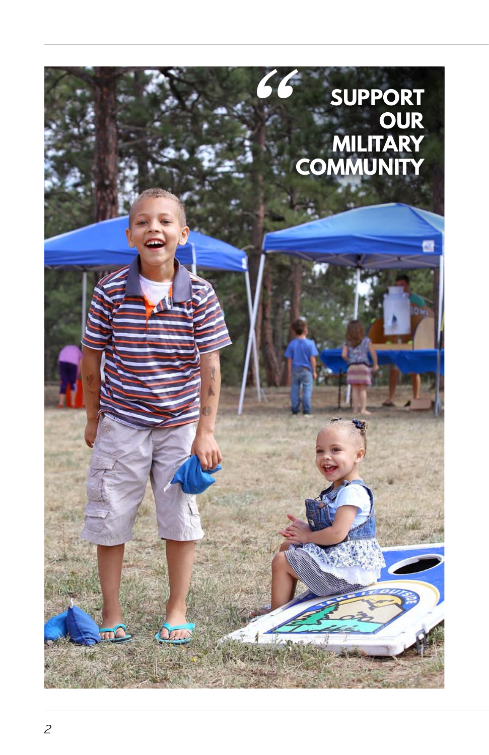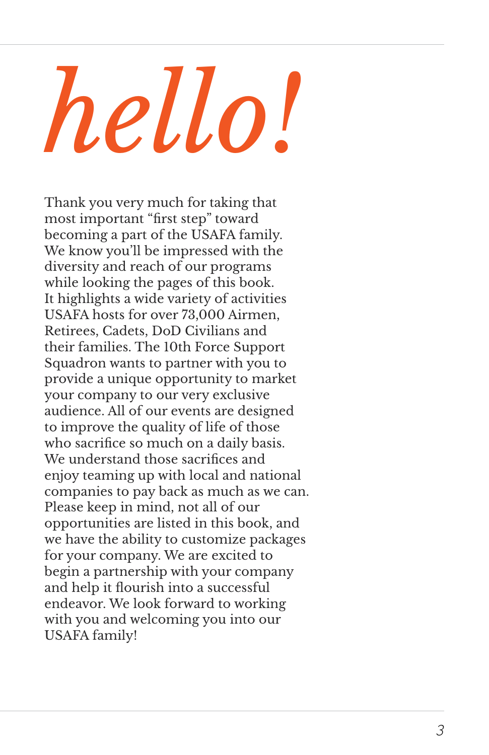# *hello!*

Thank you very much for taking that most important "first step" toward becoming a part of the USAFA family. We know you'll be impressed with the diversity and reach of our programs while looking the pages of this book. It highlights a wide variety of activities USAFA hosts for over 73,000 Airmen, Retirees, Cadets, DoD Civilians and their families. The 10th Force Support Squadron wants to partner with you to provide a unique opportunity to market your company to our very exclusive audience. All of our events are designed to improve the quality of life of those who sacrifice so much on a daily basis. We understand those sacrifices and enjoy teaming up with local and national companies to pay back as much as we can. Please keep in mind, not all of our opportunities are listed in this book, and we have the ability to customize packages for your company. We are excited to begin a partnership with your company and help it flourish into a successful endeavor. We look forward to working with you and welcoming you into our USAFA family!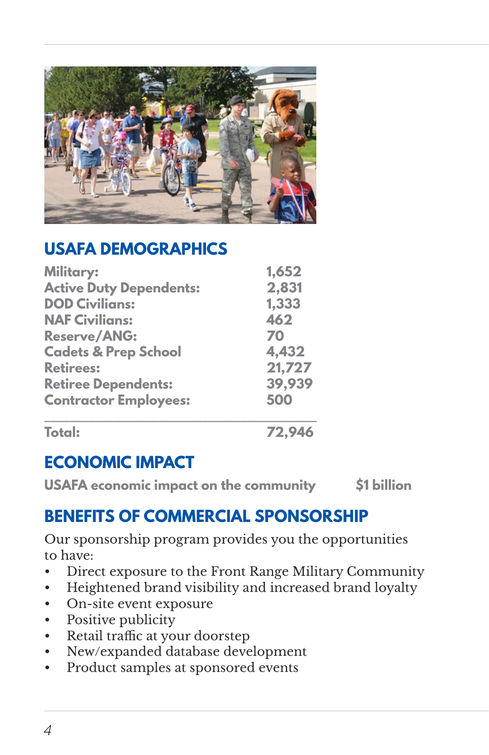

## **USAFA DEMOGRAPHICS**

| <b>Military:</b><br><b>Active Duty Dependents:</b><br><b>DOD Civilians:</b><br><b>NAF Civilians:</b><br><b>Reserve/ANG:</b><br><b>Cadets &amp; Prep School</b><br><b>Retirees:</b><br><b>Retiree Dependents:</b><br><b>Contractor Employees:</b> | 1,652<br>2,831<br>1,333<br>462<br>70<br>4,432<br>21,727<br>39,939<br>500 |               |        |
|--------------------------------------------------------------------------------------------------------------------------------------------------------------------------------------------------------------------------------------------------|--------------------------------------------------------------------------|---------------|--------|
|                                                                                                                                                                                                                                                  |                                                                          | <b>Total:</b> | 72,946 |

# **ECONOMIC IMPACT**

**USAFA economic impact on the community \$1 billion**

## **BENEFITS OF COMMERCIAL SPONSORSHIP**

Our sponsorship program provides you the opportunities to have:

- Direct exposure to the Front Range Military Community
- Heightened brand visibility and increased brand loyalty
- On-site event exposure
- Positive publicity
- Retail traffic at your doorstep
- New/expanded database development
- Product samples at sponsored events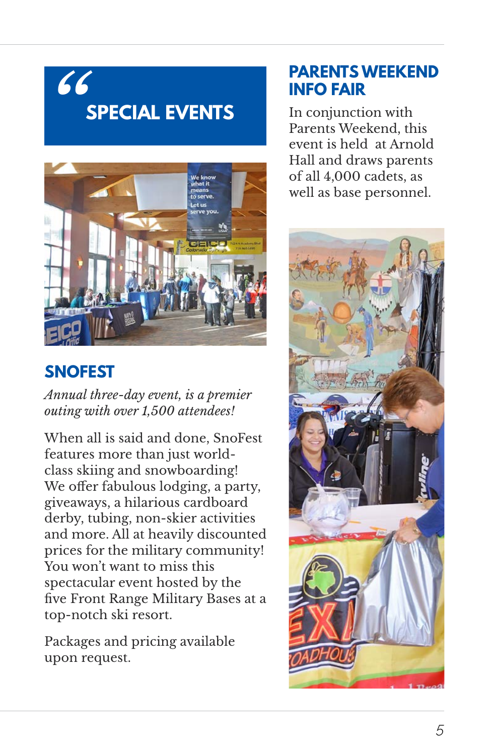# **SPECIAL EVENTS** *"*



# **SNOFEST**

*Annual three-day event, is a premier outing with over 1,500 attendees!*

When all is said and done, SnoFest features more than just worldclass skiing and snowboarding! We offer fabulous lodging, a party, giveaways, a hilarious cardboard derby, tubing, non-skier activities and more. All at heavily discounted prices for the military community! You won't want to miss this spectacular event hosted by the five Front Range Military Bases at a top-notch ski resort.

Packages and pricing available upon request.

### **PARENTS WEEKEND INFO FAIR**

In conjunction with Parents Weekend, this event is held at Arnold Hall and draws parents of all 4,000 cadets, as well as base personnel.

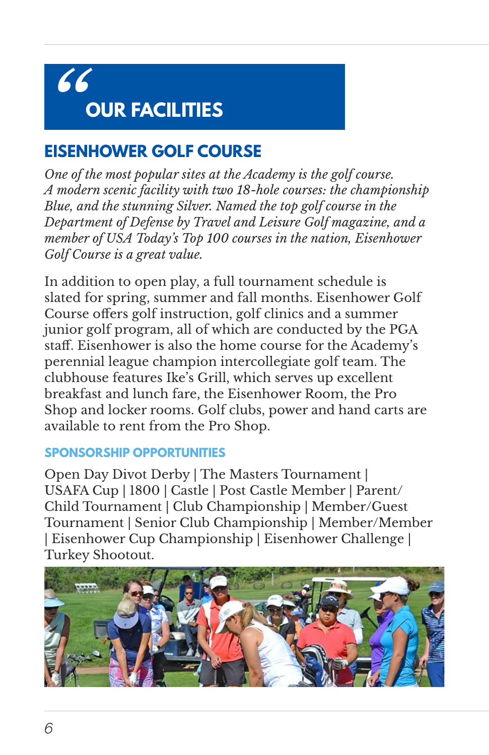# **OUR FACILITIES** *"*

# **EISENHOWER GOLF COURSE**

*One of the most popular sites at the Academy is the golf course. A modern scenic facility with two 18-hole courses: the championship Blue, and the stunning Silver. Named the top golf course in the Department of Defense by Travel and Leisure Golf magazine, and a member of USA Today's Top 100 courses in the nation, Eisenhower Golf Course is a great value.*

In addition to open play, a full tournament schedule is slated for spring, summer and fall months. Eisenhower Golf Course offers golf instruction, golf clinics and a summer junior golf program, all of which are conducted by the PGA staff. Eisenhower is also the home course for the Academy's perennial league champion intercollegiate golf team. The clubhouse features Ike's Grill, which serves up excellent breakfast and lunch fare, the Eisenhower Room, the Pro Shop and locker rooms. Golf clubs, power and hand carts are available to rent from the Pro Shop.

#### **SPONSORSHIP OPPORTUNITIES**

Open Day Divot Derby | The Masters Tournament | USAFA Cup | 1800 | Castle | Post Castle Member | Parent/ Child Tournament | Club Championship | Member/Guest Tournament | Senior Club Championship | Member/Member | Eisenhower Cup Championship | Eisenhower Challenge | Turkey Shootout.

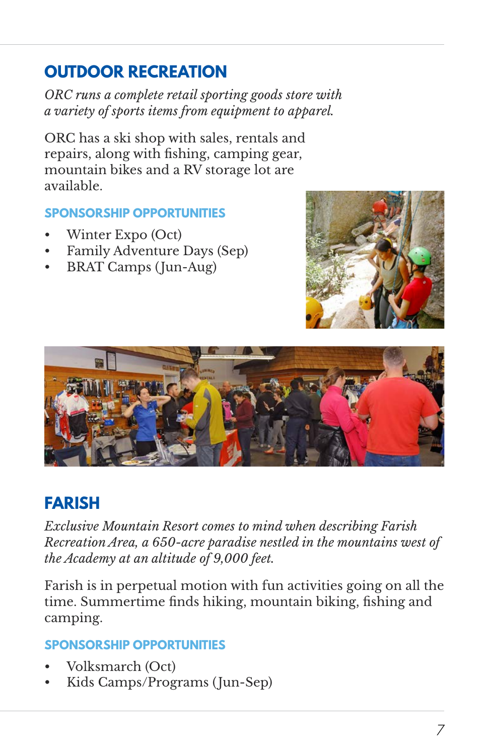# **OUTDOOR RECREATION**

*ORC runs a complete retail sporting goods store with a variety of sports items from equipment to apparel.*

ORC has a ski shop with sales, rentals and repairs, along with fishing, camping gear, mountain bikes and a RV storage lot are available.

#### **SPONSORSHIP OPPORTUNITIES**

- Winter Expo (Oct)
- Family Adventure Days (Sep)
- BRAT Camps (Jun-Aug)





# **FARISH**

*Exclusive Mountain Resort comes to mind when describing Farish Recreation Area, a 650-acre paradise nestled in the mountains west of the Academy at an altitude of 9,000 feet.*

Farish is in perpetual motion with fun activities going on all the time. Summertime finds hiking, mountain biking, fishing and camping.

- Volksmarch (Oct)
- Kids Camps/Programs (Jun-Sep)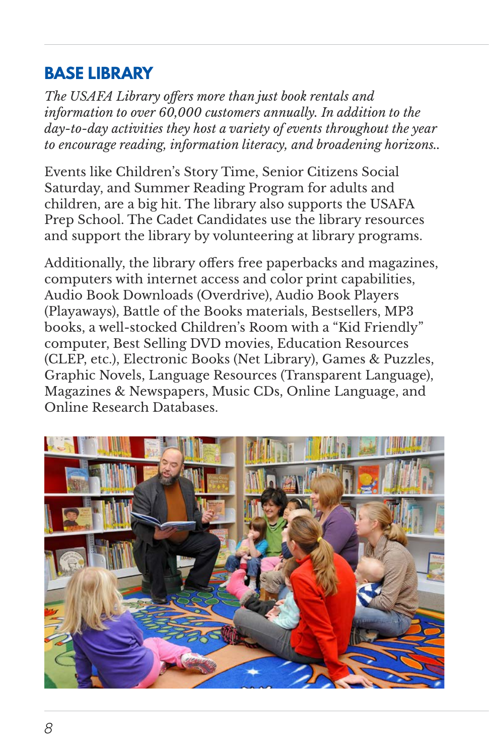# **BASE LIBRARY**

*The USAFA Library offers more than just book rentals and information to over 60,000 customers annually. In addition to the day-to-day activities they host a variety of events throughout the year to encourage reading, information literacy, and broadening horizons..*

Events like Children's Story Time, Senior Citizens Social Saturday, and Summer Reading Program for adults and children, are a big hit. The library also supports the USAFA Prep School. The Cadet Candidates use the library resources and support the library by volunteering at library programs.

Additionally, the library offers free paperbacks and magazines, computers with internet access and color print capabilities, Audio Book Downloads (Overdrive), Audio Book Players (Playaways), Battle of the Books materials, Bestsellers, MP3 books, a well-stocked Children's Room with a "Kid Friendly" computer, Best Selling DVD movies, Education Resources (CLEP, etc.), Electronic Books (Net Library), Games & Puzzles, Graphic Novels, Language Resources (Transparent Language), Magazines & Newspapers, Music CDs, Online Language, and Online Research Databases.

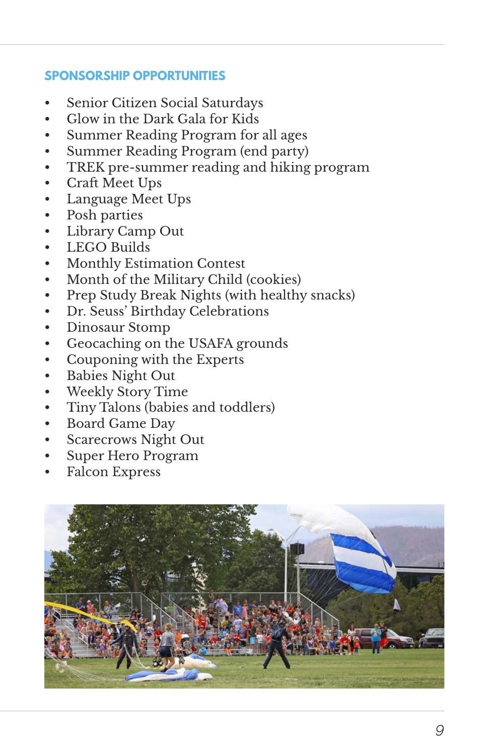- Senior Citizen Social Saturdays
- Glow in the Dark Gala for Kids
- Summer Reading Program for all ages
- Summer Reading Program (end party)
- TREK pre-summer reading and hiking program
- Craft Meet Ups
- Language Meet Ups
- Posh parties
- Library Camp Out
- LEGO Builds
- Monthly Estimation Contest
- Month of the Military Child (cookies)
- Prep Study Break Nights (with healthy snacks)
- Dr. Seuss' Birthday Celebrations
- Dinosaur Stomp
- Geocaching on the USAFA grounds
- Couponing with the Experts
- Babies Night Out
- Weekly Story Time
- Tiny Talons (babies and toddlers)
- Board Game Day
- Scarecrows Night Out
- Super Hero Program
- Falcon Express

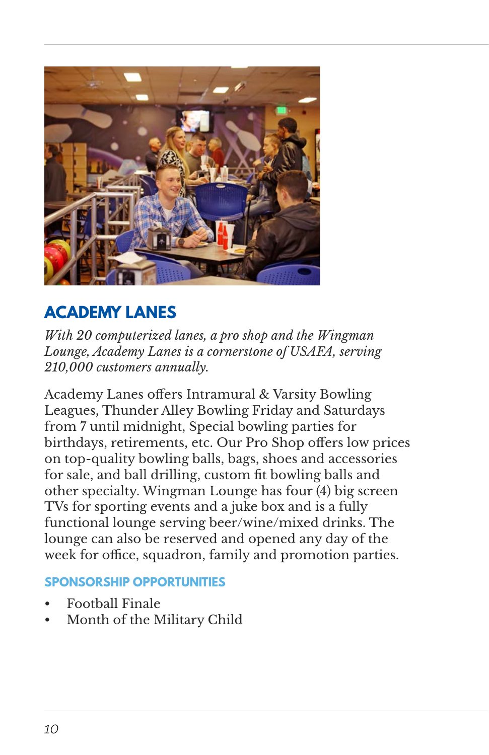

# **ACADEMY LANES**

*With 20 computerized lanes, a pro shop and the Wingman Lounge, Academy Lanes is a cornerstone of USAFA, serving 210,000 customers annually.*

Academy Lanes offers Intramural & Varsity Bowling Leagues, Thunder Alley Bowling Friday and Saturdays from 7 until midnight, Special bowling parties for birthdays, retirements, etc. Our Pro Shop offers low prices on top-quality bowling balls, bags, shoes and accessories for sale, and ball drilling, custom fit bowling balls and other specialty. Wingman Lounge has four (4) big screen TVs for sporting events and a juke box and is a fully functional lounge serving beer/wine/mixed drinks. The lounge can also be reserved and opened any day of the week for office, squadron, family and promotion parties.

- Football Finale
- Month of the Military Child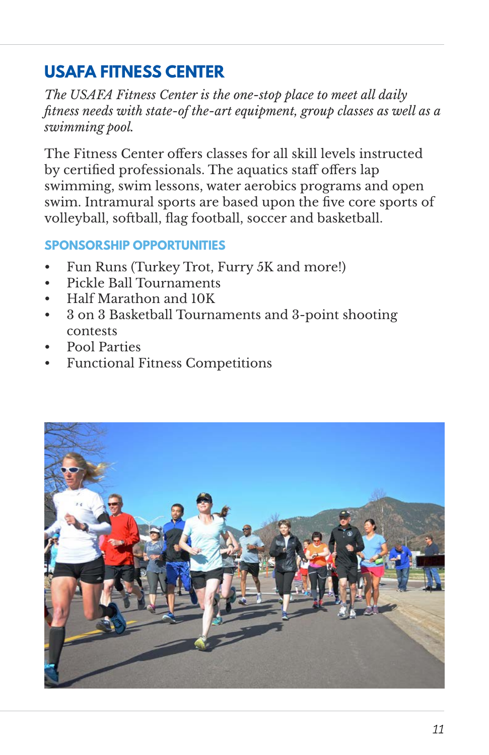# **USAFA FITNESS CENTER**

*The USAFA Fitness Center is the one-stop place to meet all daily fitness needs with state-of the-art equipment, group classes as well as a swimming pool.*

The Fitness Center offers classes for all skill levels instructed by certified professionals. The aquatics staff offers lap swimming, swim lessons, water aerobics programs and open swim. Intramural sports are based upon the five core sports of volleyball, softball, flag football, soccer and basketball.

- Fun Runs (Turkey Trot, Furry 5K and more!)
- Pickle Ball Tournaments
- Half Marathon and 10K
- 3 on 3 Basketball Tournaments and 3-point shooting contests
- Pool Parties
- Functional Fitness Competitions

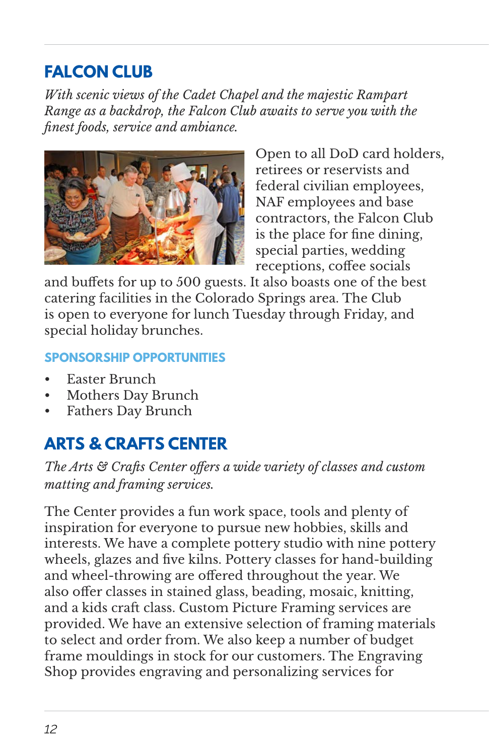# **FALCON CLUB**

*With scenic views of the Cadet Chapel and the majestic Rampart Range as a backdrop, the Falcon Club awaits to serve you with the finest foods, service and ambiance.*



Open to all DoD card holders, retirees or reservists and federal civilian employees, NAF employees and base contractors, the Falcon Club is the place for fine dining, special parties, wedding receptions, coffee socials

and buffets for up to 500 guests. It also boasts one of the best catering facilities in the Colorado Springs area. The Club is open to everyone for lunch Tuesday through Friday, and special holiday brunches.

#### **SPONSORSHIP OPPORTUNITIES**

- Easter Brunch
- Mothers Day Brunch
- Fathers Day Brunch

# **ARTS & CRAFTS CENTER**

*The Arts & Crafts Center offers a wide variety of classes and custom matting and framing services.*

The Center provides a fun work space, tools and plenty of inspiration for everyone to pursue new hobbies, skills and interests. We have a complete pottery studio with nine pottery wheels, glazes and five kilns. Pottery classes for hand-building and wheel-throwing are offered throughout the year. We also offer classes in stained glass, beading, mosaic, knitting, and a kids craft class. Custom Picture Framing services are provided. We have an extensive selection of framing materials to select and order from. We also keep a number of budget frame mouldings in stock for our customers. The Engraving Shop provides engraving and personalizing services for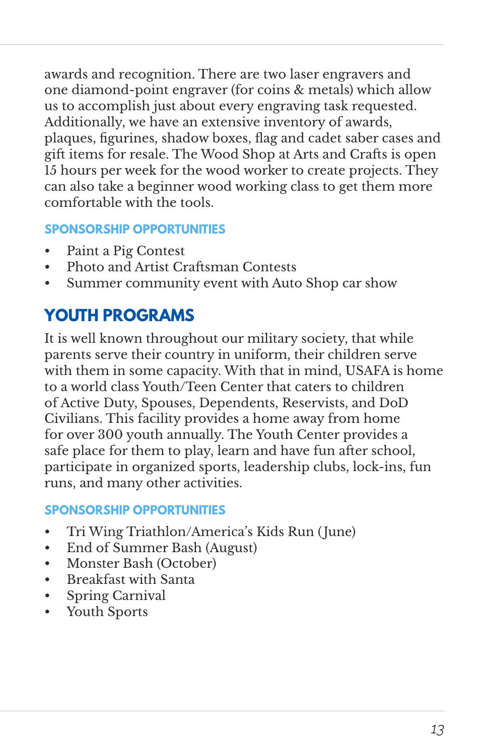awards and recognition. There are two laser engravers and one diamond-point engraver (for coins & metals) which allow us to accomplish just about every engraving task requested. Additionally, we have an extensive inventory of awards, plaques, figurines, shadow boxes, flag and cadet saber cases and gift items for resale. The Wood Shop at Arts and Crafts is open 15 hours per week for the wood worker to create projects. They can also take a beginner wood working class to get them more comfortable with the tools.

#### **SPONSORSHIP OPPORTUNITIES**

- Paint a Pig Contest
- Photo and Artist Craftsman Contests
- Summer community event with Auto Shop car show

# **YOUTH PROGRAMS**

It is well known throughout our military society, that while parents serve their country in uniform, their children serve with them in some capacity. With that in mind, USAFA is home to a world class Youth/Teen Center that caters to children of Active Duty, Spouses, Dependents, Reservists, and DoD Civilians. This facility provides a home away from home for over 300 youth annually. The Youth Center provides a safe place for them to play, learn and have fun after school, participate in organized sports, leadership clubs, lock-ins, fun runs, and many other activities.

- Tri Wing Triathlon/America's Kids Run (June)
- End of Summer Bash (August)
- Monster Bash (October)
- Breakfast with Santa
- Spring Carnival
- Youth Sports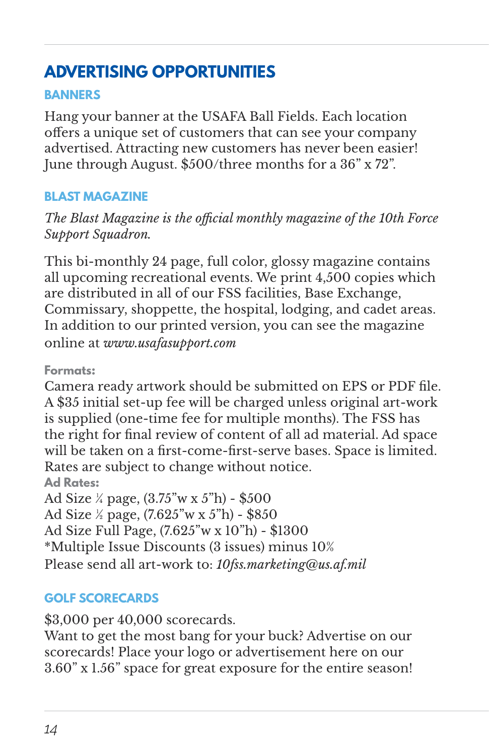# **ADVERTISING OPPORTUNITIES**

#### **BANNERS**

Hang your banner at the USAFA Ball Fields. Each location offers a unique set of customers that can see your company advertised. Attracting new customers has never been easier! June through August. \$500/three months for a 36" x 72".

#### **BLAST MAGAZINE**

*The Blast Magazine is the official monthly magazine of the 10th Force Support Squadron.*

This bi-monthly 24 page, full color, glossy magazine contains all upcoming recreational events. We print 4,500 copies which are distributed in all of our FSS facilities, Base Exchange, Commissary, shoppette, the hospital, lodging, and cadet areas. In addition to our printed version, you can see the magazine online at *www.usafasupport.com*

**Formats:**

Camera ready artwork should be submitted on EPS or PDF file. A \$35 initial set-up fee will be charged unless original art-work is supplied (one-time fee for multiple months). The FSS has the right for final review of content of all ad material. Ad space will be taken on a first-come-first-serve bases. Space is limited. Rates are subject to change without notice.

**Ad Rates:**

Ad Size ¼ page, (3.75"w x 5"h) - \$500

Ad Size ½ page, (7.625"w x 5"h) - \$850

Ad Size Full Page, (7.625"w x 10"h) - \$1300

\*Multiple Issue Discounts (3 issues) minus 10%

Please send all art-work to: *10fss.marketing@us.af.mil*

#### **GOLF SCORECARDS**

\$3,000 per 40,000 scorecards.

Want to get the most bang for your buck? Advertise on our scorecards! Place your logo or advertisement here on our 3.60" x 1.56" space for great exposure for the entire season!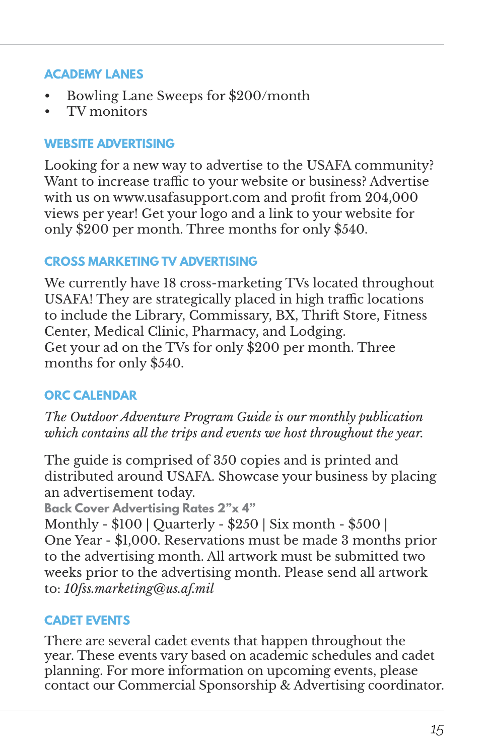#### **ACADEMY LANES**

- Bowling Lane Sweeps for \$200/month
- TV monitors

#### **WEBSITE ADVERTISING**

Looking for a new way to advertise to the USAFA community? Want to increase traffic to your website or business? Advertise with us on www.usafasupport.com and profit from 204,000 views per year! Get your logo and a link to your website for only \$200 per month. Three months for only \$540.

#### **CROSS MARKETING TV ADVERTISING**

We currently have 18 cross-marketing TVs located throughout USAFA! They are strategically placed in high traffic locations to include the Library, Commissary, BX, Thrift Store, Fitness Center, Medical Clinic, Pharmacy, and Lodging. Get your ad on the TVs for only \$200 per month. Three months for only \$540.

#### **ORC CALENDAR**

*The Outdoor Adventure Program Guide is our monthly publication which contains all the trips and events we host throughout the year.*

The guide is comprised of 350 copies and is printed and distributed around USAFA. Showcase your business by placing an advertisement today.

**Back Cover Advertising Rates 2"x 4"**

Monthly - \$100 | Quarterly - \$250 | Six month - \$500 | One Year - \$1,000. Reservations must be made 3 months prior to the advertising month. All artwork must be submitted two weeks prior to the advertising month. Please send all artwork to: *10fss.marketing@us.af.mil*

#### **CADET EVENTS**

There are several cadet events that happen throughout the year. These events vary based on academic schedules and cadet planning. For more information on upcoming events, please contact our Commercial Sponsorship & Advertising coordinator.